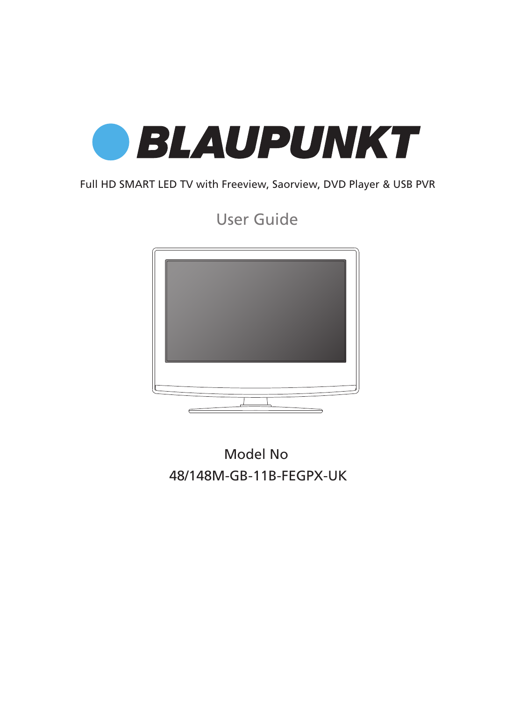

### Full HD SMART LED TV with Freeview, Saorview, DVD Player & USB PVR

User Guide



48/148M-GB-11B-FEGPX-UK Model No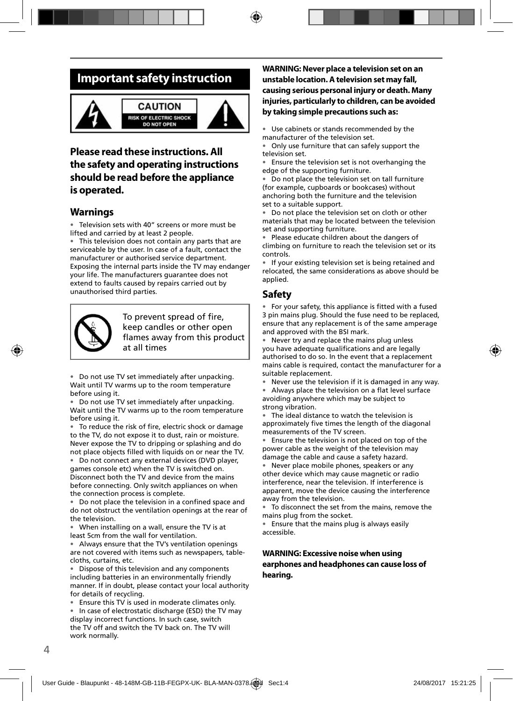### **Important safety instruction**



#### **CAUTION RISK OF ELECTRIC SHOCK DO NOT OPEN**



### **Please read these instructions. All the safety and operating instructions should be read before the appliance is operated.**

### **Warnings**

• Television sets with 40" screens or more must be lifted and carried by at least 2 people.

• This television does not contain any parts that are serviceable by the user. In case of a fault, contact the manufacturer or authorised service department. Exposing the internal parts inside the TV may endanger your life. The manufacturers guarantee does not extend to faults caused by repairs carried out by unauthorised third parties.



To prevent spread of fire, keep candles or other open flames away from this product at all times

• Do not use TV set immediately after unpacking. Wait until TV warms up to the room temperature before using it.

• Do not use TV set immediately after unpacking. Wait until the TV warms up to the room temperature before using it.

• To reduce the risk of fire, electric shock or damage to the TV, do not expose it to dust, rain or moisture. Never expose the TV to dripping or splashing and do not place objects filled with liquids on or near the TV.

• Do not connect any external devices (DVD player, games console etc) when the TV is switched on. Disconnect both the TV and device from the mains before connecting. Only switch appliances on when the connection process is complete.

Do not place the television in a confined space and do not obstruct the ventilation openings at the rear of the television.

• When installing on a wall, ensure the TV is at least 5cm from the wall for ventilation.

• Always ensure that the TV's ventilation openings are not covered with items such as newspapers, tablecloths, curtains, etc.

• Dispose of this television and any components including batteries in an environmentally friendly manner. If in doubt, please contact your local authority for details of recycling.

• Ensure this TV is used in moderate climates only.

• In case of electrostatic discharge (ESD) the TV may display incorrect functions. In such case, switch the TV off and switch the TV back on. The TV will work normally.

#### **WARNING: Never place a television set on an unstable location. A television set may fall, causing serious personal injury or death. Many injuries, particularly to children, can be avoided by taking simple precautions such as:**

Use cabinets or stands recommended by the manufacturer of the television set.

• Only use furniture that can safely support the television set.

• Ensure the television set is not overhanging the edge of the supporting furniture.

• Do not place the television set on tall furniture (for example, cupboards or bookcases) without anchoring both the furniture and the television set to a suitable support.

Do not place the television set on cloth or other materials that may be located between the television set and supporting furniture.

• Please educate children about the dangers of climbing on furniture to reach the television set or its controls.

• If your existing television set is being retained and relocated, the same considerations as above should be applied.

### **Safety**

• For your safety, this appliance is fitted with a fused 3 pin mains plug. Should the fuse need to be replaced, ensure that any replacement is of the same amperage and approved with the BSI mark.

• Never try and replace the mains plug unless you have adequate qualifications and are legally authorised to do so. In the event that a replacement mains cable is required, contact the manufacturer for a suitable replacement.

• Never use the television if it is damaged in any way.

Always place the television on a flat level surface avoiding anywhere which may be subject to strong vibration.

• The ideal distance to watch the television is approximately five times the length of the diagonal measurements of the TV screen.

• Ensure the television is not placed on top of the power cable as the weight of the television may damage the cable and cause a safety hazard.

• Never place mobile phones, speakers or any other device which may cause magnetic or radio interference, near the television. If interference is apparent, move the device causing the interference away from the television.

To disconnect the set from the mains, remove the mains plug from the socket.

• Ensure that the mains plug is always easily accessible.

#### **WARNING: Excessive noise when using earphones and headphones can cause loss of hearing.**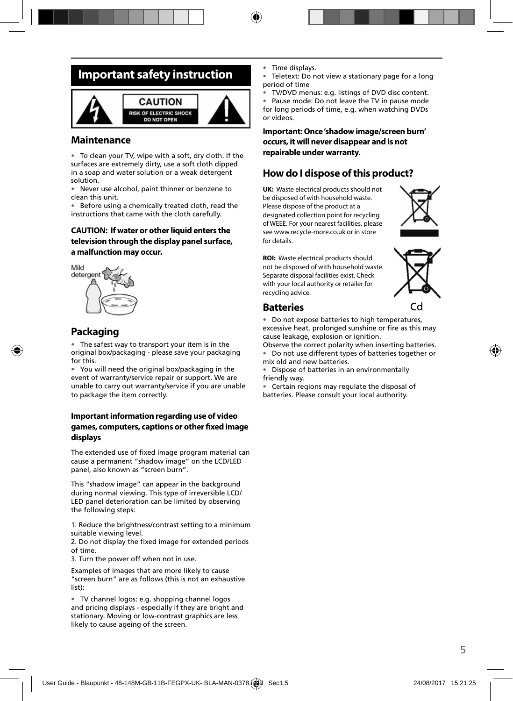### **Important safety instruction**



#### **Maintenance**

• To clean your TV, wipe with a soft, dry cloth. If the surfaces are extremely dirty, use a soft cloth dipped in a soap and water solution or a weak detergent solution.

• Never use alcohol, paint thinner or benzene to clean this unit.

• Before using a chemically treated cloth, read the instructions that came with the cloth carefully.

#### **CAUTION: If water or other liquid enters the television through the display panel surface, a malfunction may occur.**



### **Packaging**

• The safest way to transport your item is in the original box/packaging - please save your packaging for this.

• You will need the original box/packaging in the event of warranty/service repair or support. We are unable to carry out warranty/service if you are unable to package the item correctly.

#### **Important information regarding use of video games, computers, captions or other fi xed image displays**

The extended use of fixed image program material can cause a permanent "shadow image" on the LCD/LED panel, also known as "screen burn".

This "shadow image" can appear in the background during normal viewing. This type of irreversible LCD/ LED panel deterioration can be limited by observing the following steps:

1. Reduce the brightness/contrast setting to a minimum suitable viewing level.

2. Do not display the fixed image for extended periods of time.

3. Turn the power off when not in use.

Examples of images that are more likely to cause "screen burn" are as follows (this is not an exhaustive list):

• TV channel logos: e.g. shopping channel logos and pricing displays - especially if they are bright and stationary. Moving or low-contrast graphics are less likely to cause ageing of the screen.

- Time displays.
- Teletext: Do not view a stationary page for a long period of time
- TV/DVD menus: e.g. listings of DVD disc content.

• Pause mode: Do not leave the TV in pause mode for long periods of time, e.g. when watching DVDs or videos.

**Important: Once 'shadow image/screen burn' occurs, it will never disappear and is not repairable under warranty.**

### **How do I dispose of this product?**

**UK:** Waste electrical products should not be disposed of with household waste. Please dispose of the product at a designated collection point for recycling of WEEE. For your nearest facilities, please see www.recycle-more.co.uk or in store for details.



**ROI:** Waste electrical products should not be disposed of with household waste. Separate disposal facilities exist. Check with your local authority or retailer for recycling advice.



#### **Batteries**

• Do not expose batteries to high temperatures, excessive heat, prolonged sunshine or fire as this may cause leakage, explosion or ignition.

Observe the correct polarity when inserting batteries. • Do not use different types of batteries together or mix old and new batteries.

• Dispose of batteries in an environmentally friendly way.

• Certain regions may regulate the disposal of batteries. Please consult your local authority.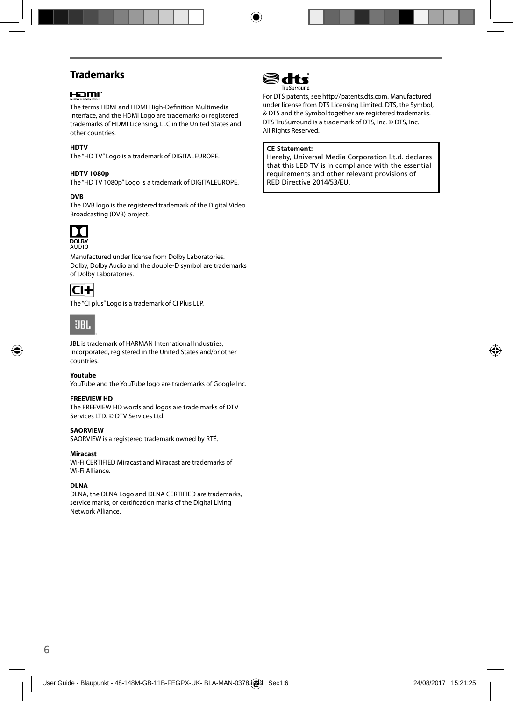### **Trademarks**

#### Homr

The terms HDMI and HDMI High-Definition Multimedia Interface, and the HDMI Logo are trademarks or registered trademarks of HDMI Licensing, LLC in the United States and other countries.

#### **HDTV**

The "HD TV" Logo is a trademark of DIGITALEUROPE.

#### **HDTV 1080p**

The "HD TV 1080p" Logo is a trademark of DIGITALEUROPE.

#### **DVB**

The DVB logo is the registered trademark of the Digital Video Broadcasting (DVB) project.



Manufactured under license from Dolby Laboratories.

Dolby, Dolby Audio and the double-D symbol are trademarks of Dolby Laboratories.



The "CI plus" Logo is a trademark of CI Plus LLP.



JBL is trademark of HARMAN International Industries, Incorporated, registered in the United States and/or other countries.

#### **Youtube**

YouTube and the YouTube logo are trademarks of Google Inc.

#### **FREEVIEW HD**

The FREEVIEW HD words and logos are trade marks of DTV Services LTD. © DTV Services Ltd.

#### **SAORVIEW**

SAORVIEW is a registered trademark owned by RTÉ.

#### **Miracast**

Wi-Fi CERTIFIED Miracast and Miracast are trademarks of Wi-Fi Alliance.

#### **DLNA**

DLNA, the DLNA Logo and DLNA CERTIFIED are trademarks, service marks, or certification marks of the Digital Living Network Alliance.



For DTS patents, see http://patents.dts.com. Manufactured under license from DTS Licensing Limited. DTS, the Symbol, & DTS and the Symbol together are registered trademarks. DTS TruSurround is a trademark of DTS, Inc. © DTS, Inc. All Rights Reserved.

#### **CE Statement:**

Hereby, Universal Media Corporation l.t.d. declares that this LED TV is in compliance with the essential requirements and other relevant provisions of RED Directive 2014/53/EU.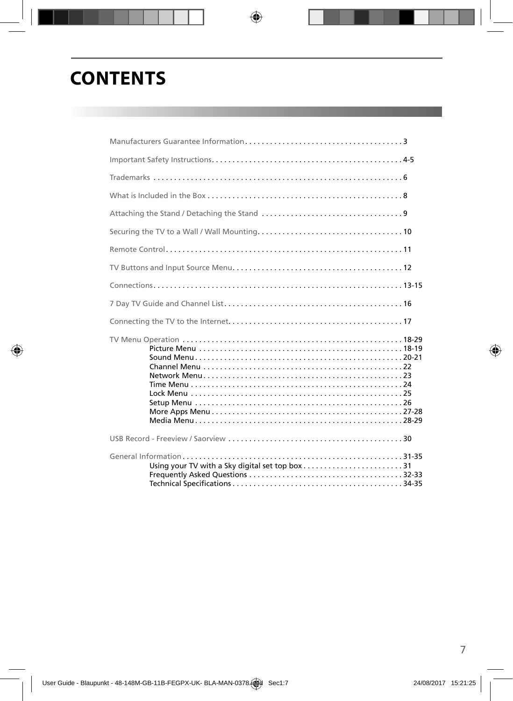## **CONTENTS**

| Using your TV with a Sky digital set top box31 |  |
|------------------------------------------------|--|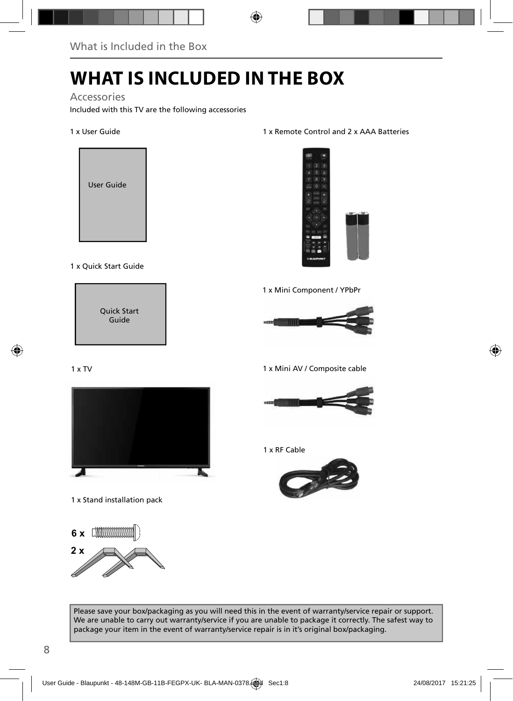# **WHAT IS INCLUDED IN THE BOX**

#### Accessories

Included with this TV are the following accessories

#### 1 x User Guide



#### 1 x Quick Start Guide



#### 1 x TV



1 x Stand installation pack



#### 1 x Remote Control and 2 x AAA Batteries



#### 1 x Mini Component / YPbPr



1 x Mini AV / Composite cable



#### 1 x RF Cable



Please save your box/packaging as you will need this in the event of warranty/service repair or support. We are unable to carry out warranty/service if you are unable to package it correctly. The safest way to package your item in the event of warranty/service repair is in it's original box/packaging.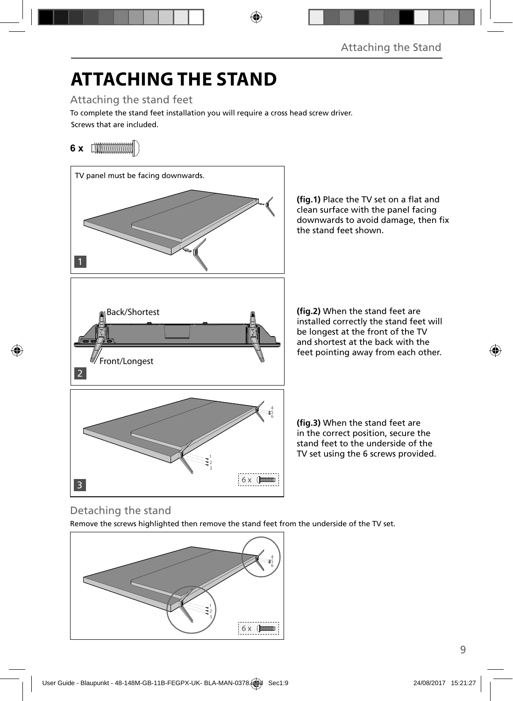# **ATTACHING THE STAND**

Attaching the stand feet

Screws that are included. To complete the stand feet installation you will require a cross head screw driver.

### **6 x** [*MMMMMMM*]



(fig.1) Place the TV set on a flat and clean surface with the panel facing downwards to avoid damage, then fix the stand feet shown.

**(fig.2)** When the stand feet are installed correctly the stand feet will be longest at the front of the TV and shortest at the back with the feet pointing away from each other.

(fig.3) When the stand feet are in the correct position, secure the stand feet to the underside of the TV set using the 6 screws provided.

### Detaching the stand

Remove the screws highlighted then remove the stand feet from the underside of the TV set.

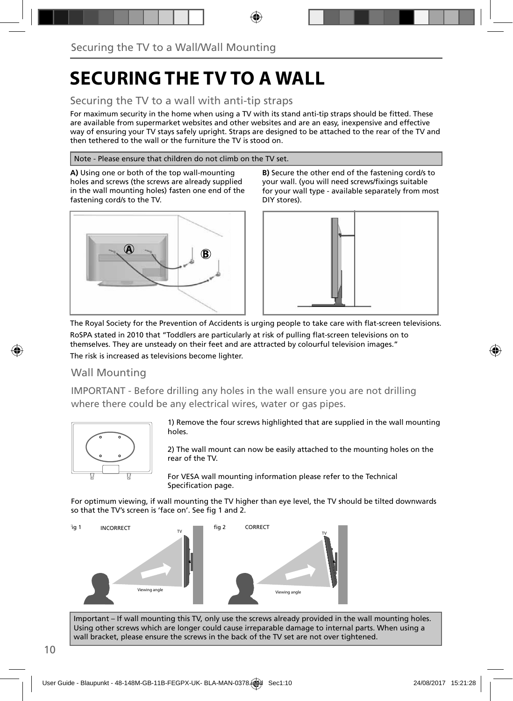## **SECURING THE TV TO A WALL**

### Securing the TV to a wall with anti-tip straps

For maximum security in the home when using a TV with its stand anti-tip straps should be fitted. These are available from supermarket websites and other websites and are an easy, inexpensive and effective way of ensuring your TV stays safely upright. Straps are designed to be attached to the rear of the TV and then tethered to the wall or the furniture the TV is stood on.

#### Note - Please ensure that children do not climb on the TV set.

**A)** Using one or both of the top wall-mounting holes and screws (the screws are already supplied in the wall mounting holes) fasten one end of the fastening cord/s to the TV.



**B)** Secure the other end of the fastening cord/s to your wall. (you will need screws/fixings suitable for your wall type - available separately from most DIY stores).



The Royal Society for the Prevention of Accidents is urging people to take care with flat-screen televisions. RoSPA stated in 2010 that "Toddlers are particularly at risk of pulling flat-screen televisions on to themselves. They are unsteady on their feet and are attracted by colourful television images."

The risk is increased as televisions become lighter.

#### Wall Mounting

IMPORTANT - Before drilling any holes in the wall ensure you are not drilling where there could be any electrical wires, water or gas pipes.



1) Remove the four screws highlighted that are supplied in the wall mounting holes.

2) The wall mount can now be easily attached to the mounting holes on the rear of the TV.

For VESA wall mounting information please refer to the Technical Specification page.

For optimum viewing, if wall mounting the TV higher than eye level, the TV should be tilted downwards so that the TV's screen is 'face on'. See fig 1 and 2.



Important – If wall mounting this TV, only use the screws already provided in the wall mounting holes. Using other screws which are longer could cause irreparable damage to internal parts. When using a wall bracket, please ensure the screws in the back of the TV set are not over tightened.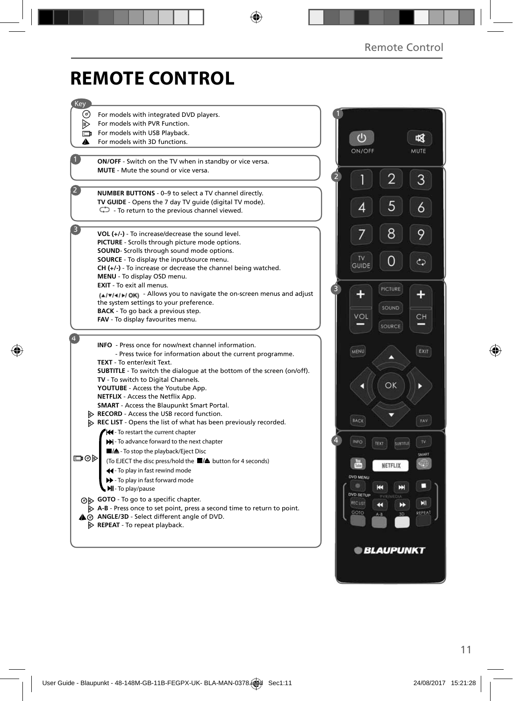## **REMOTE CONTROL**

| Key |                                                                                                                                          |                                         |                              |
|-----|------------------------------------------------------------------------------------------------------------------------------------------|-----------------------------------------|------------------------------|
| ⊙   | For models with integrated DVD players.                                                                                                  |                                         |                              |
| ▷   | For models with PVR Function.                                                                                                            |                                         |                              |
|     | For models with USB Playback.                                                                                                            |                                         |                              |
| ▲   | For models with 3D functions.                                                                                                            | $\mathcal{U}$                           | 呶                            |
|     |                                                                                                                                          | ON/OFF                                  | MUTE                         |
|     | ON/OFF - Switch on the TV when in standby or vice versa.                                                                                 |                                         |                              |
|     | <b>MUTE</b> - Mute the sound or vice versa.                                                                                              |                                         |                              |
|     |                                                                                                                                          | $\overline{2}$                          | 3                            |
|     | NUMBER BUTTONS - 0-9 to select a TV channel directly.                                                                                    |                                         |                              |
|     | TV GUIDE - Opens the 7 day TV guide (digital TV mode).                                                                                   |                                         |                              |
|     | $\mathbb{C}$ - To return to the previous channel viewed.                                                                                 | 4                                       | 5<br>6                       |
|     |                                                                                                                                          |                                         |                              |
|     | VOL $(+/-)$ - To increase/decrease the sound level.                                                                                      |                                         | 8<br>9                       |
|     | <b>PICTURE</b> - Scrolls through picture mode options.                                                                                   |                                         |                              |
|     | SOUND- Scrolls through sound mode options.                                                                                               |                                         |                              |
|     | <b>SOURCE</b> - To display the input/source menu.                                                                                        | <b>TV</b><br><b>GUIDE</b>               | ආ                            |
|     | $CH (+/-)$ - To increase or decrease the channel being watched.                                                                          |                                         |                              |
|     | MENU - To display OSD menu.<br>EXIT - To exit all menus.                                                                                 |                                         |                              |
|     | (A/V/4/D/OK) - Allows you to navigate the on-screen menus and adjust                                                                     |                                         | PICTURE                      |
|     | the system settings to your preference.                                                                                                  |                                         |                              |
|     | <b>BACK</b> - To go back a previous step.                                                                                                |                                         | SOUND                        |
|     | FAV - To display favourites menu.                                                                                                        | VOL                                     | CН<br>SOURCE                 |
|     |                                                                                                                                          |                                         |                              |
|     | <b>INFO</b> - Press once for now/next channel information.                                                                               |                                         |                              |
|     | - Press twice for information about the current programme.                                                                               | MENU                                    | EXIT                         |
|     | <b>TEXT</b> - To enter/exit Text.                                                                                                        |                                         |                              |
|     | <b>SUBTITLE</b> - To switch the dialogue at the bottom of the screen (on/off).                                                           |                                         |                              |
|     | TV - To switch to Digital Channels.                                                                                                      |                                         | ОΚ<br>Þ                      |
|     | YOUTUBE - Access the Youtube App.<br>NETFLIX - Access the Netflix App.                                                                   |                                         |                              |
|     | <b>SMART</b> - Access the Blaupunkt Smart Portal.                                                                                        |                                         |                              |
|     | <b>EXECORD</b> - Access the USB record function.                                                                                         |                                         |                              |
|     | <b>D</b> REC LIST - Opens the list of what has been previously recorded.                                                                 | BACK                                    | FAV                          |
|     | <b>44</b> - To restart the current chapter                                                                                               |                                         |                              |
|     | >> - To advance forward to the next chapter                                                                                              | $\overline{4}$<br><b>INFO</b><br>TEXT   | TV.<br>SUBTITLE              |
|     | ■/▲ - To stop the playback/Eject Disc                                                                                                    |                                         | SMART                        |
| ▭⊙▷ | (To EJECT the disc press/hold the ■▲ button for 4 seconds)                                                                               |                                         | NETFLIX                      |
|     | 44 - To play in fast rewind mode                                                                                                         | <b>OVD MENU</b>                         |                              |
|     | >> - To play in fast forward mode                                                                                                        | ۰                                       | □                            |
|     | MI-To play/pause                                                                                                                         | к<br><b>DVD SETUP</b>                   | ы<br><b><i>FVR/MEDIA</i></b> |
|     | <b>OD</b> GOTO - To go to a specific chapter.                                                                                            | <b>REC LIST</b><br>$\blacktriangleleft$ | Ы<br>₩                       |
|     | $\triangleright$ A-B - Press once to set point, press a second time to return to point.<br>A @ ANGLE/3D - Select different angle of DVD. | GOTO<br>$A - B$                         | REPEAT<br>3D                 |
|     | $\triangleright$ REPEAT - To repeat playback.                                                                                            |                                         |                              |
|     |                                                                                                                                          |                                         |                              |
|     |                                                                                                                                          |                                         |                              |
|     |                                                                                                                                          |                                         | <b>© BLAUPUNKT</b>           |
|     |                                                                                                                                          |                                         |                              |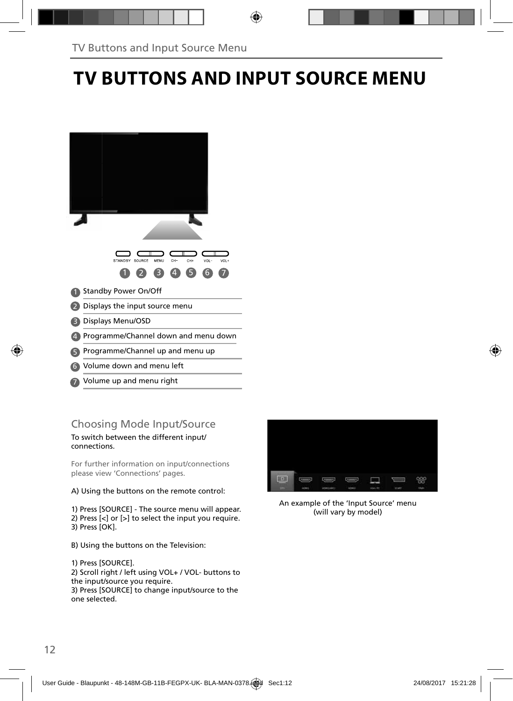## **TV BUTTONS AND INPUT SOURCE MENU**

| <b>STANDBY</b><br>SOURCE<br>CH-<br>VOL-<br>MENU<br>CH+<br>VOL+<br>4 |
|---------------------------------------------------------------------|
| <b>Standby Power On/Off</b>                                         |
| Displays the input source menu<br>2)                                |
| Displays Menu/OSD                                                   |
| Programme/Channel down and menu down                                |
| Programme/Channel up and menu up                                    |
| Volume down and menu left<br>$\overline{6}$                         |
| Volume up and menu right                                            |

### Choosing Mode Input/Source

To switch between the different input/ connections.

For further information on input/connections please view 'Connections' pages.

#### A) Using the buttons on the remote control:

1) Press [SOURCE] - The source menu will appear. 2) Press [<] or [>] to select the input you require. 3) Press [OK].

B) Using the buttons on the Television:

1) Press [SOURCE].

2) Scroll right / left using VOL+ / VOL- buttons to the input/source you require. 3) Press [SOURCE] to change input/source to the one selected.



An example of the 'Input Source' menu (will vary by model)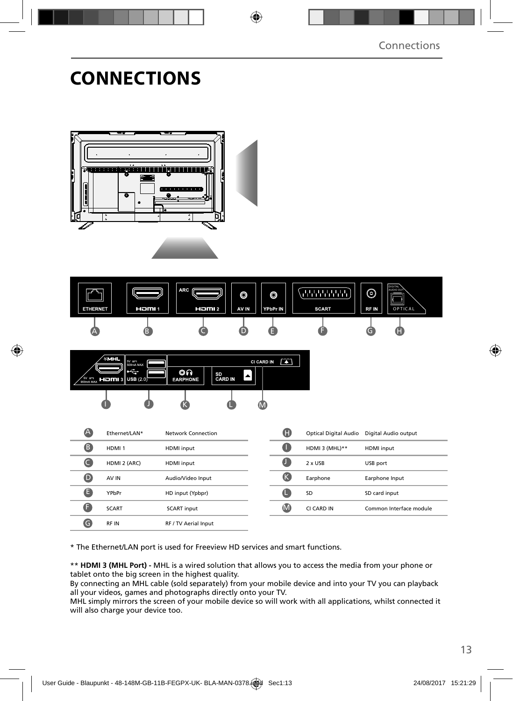## **CONNECTIONS**







| $\bigtriangleup$ | Ethernet/LAN*     | Network Connection          | G   | <b>Optical Digital Audio</b> | Digital Audio output    |
|------------------|-------------------|-----------------------------|-----|------------------------------|-------------------------|
| ß                | HDMI <sub>1</sub> | <b>HDMI</b> input           | a   | HDMI 3 (MHL)**               | <b>HDMI</b> input       |
|                  | HDMI 2 (ARC)      | <b>HDMI</b> input           | O   | $2 \times$ USB               | USB port                |
| O                | AV IN             | Audio/Video Input           | (K  | Earphone                     | Earphone Input          |
| Ø                | YPbPr             | HD input (Ypbpr)            | Œ   | SD                           | SD card input           |
| Æ                | <b>SCART</b>      | <b>SCART</b> input          | (M) | CI CARD IN                   | Common Interface module |
| G                | <b>RFIN</b>       | <b>RF / TV Aerial Input</b> |     |                              |                         |

\* The Ethernet/LAN port is used for Freeview HD services and smart functions.

\*\* **HDMI 3 (MHL Port) -** MHL is a wired solution that allows you to access the media from your phone or tablet onto the big screen in the highest quality.

By connecting an MHL cable (sold separately) from your mobile device and into your TV you can playback all your videos, games and photographs directly onto your TV.

MHL simply mirrors the screen of your mobile device so will work with all applications, whilst connected it will also charge your device too.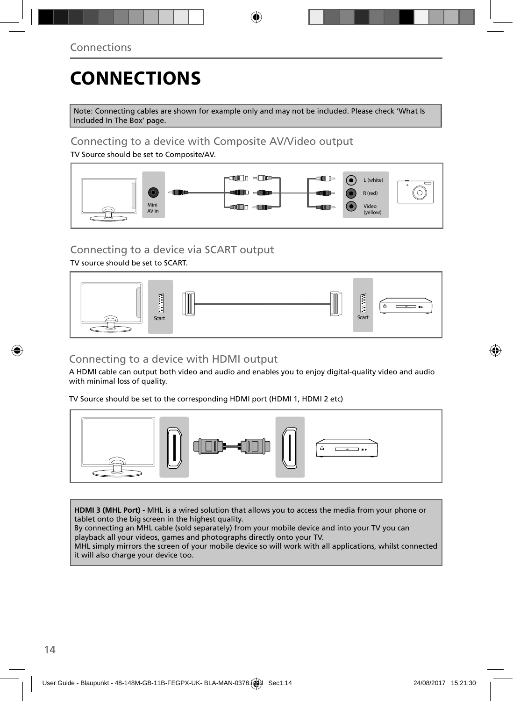# **CONNECTIONS**

Note: Connecting cables are shown for example only and may not be included. Please check 'What Is Included In The Box' page.

### Connecting to a device with Composite AV/Video output

TV Source should be set to Composite/AV.



### Connecting to a device via SCART output

TV source should be set to SCART.



### Connecting to a device with HDMI output

A HDMI cable can output both video and audio and enables you to enjoy digital-quality video and audio with minimal loss of quality.

TV Source should be set to the corresponding HDMI port (HDMI 1, HDMI 2 etc)



**HDMI 3 (MHL Port) -** MHL is a wired solution that allows you to access the media from your phone or tablet onto the big screen in the highest quality.

By connecting an MHL cable (sold separately) from your mobile device and into your TV you can playback all your videos, games and photographs directly onto your TV.

MHL simply mirrors the screen of your mobile device so will work with all applications, whilst connected it will also charge your device too.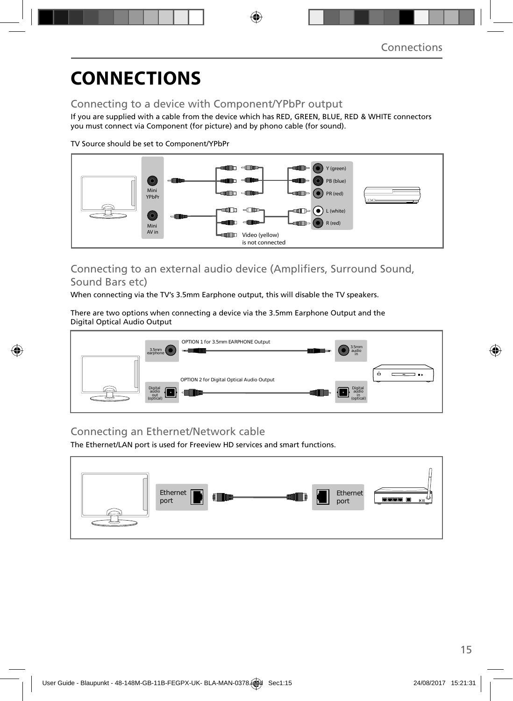# **CONNECTIONS**

### Connecting to a device with Component/YPbPr output

If you are supplied with a cable from the device which has RED, GREEN, BLUE, RED & WHITE connectors you must connect via Component (for picture) and by phono cable (for sound).

TV Source should be set to Component/YPbPr



### Connecting to an external audio device (Amplifiers, Surround Sound, Sound Bars etc)

When connecting via the TV's 3.5mm Earphone output, this will disable the TV speakers.

There are two options when connecting a device via the 3.5mm Earphone Output and the Digital Optical Audio Output



### Connecting an Ethernet/Network cable

The Ethernet/LAN port is used for Freeview HD services and smart functions.

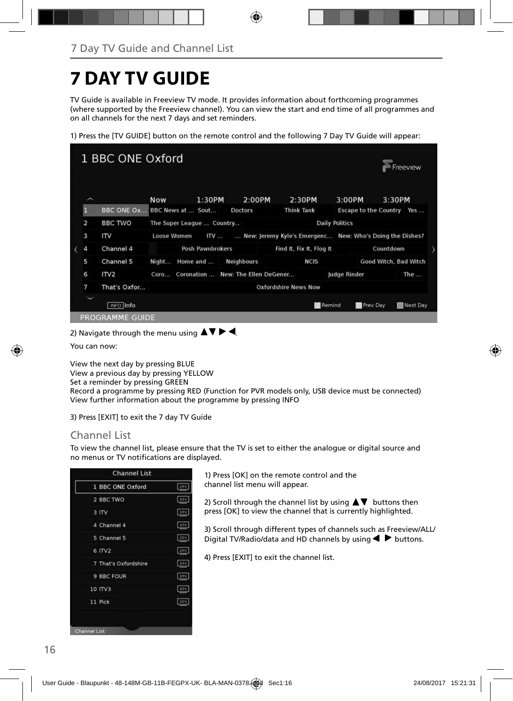## **7 DAY TV GUIDE**

TV Guide is available in Freeview TV mode. It provides information about forthcoming programmes (where supported by the Freeview channel). You can view the start and end time of all programmes and on all channels for the next 7 days and set reminders.

1) Press the [TV GUIDE] button on the remote control and the following 7 Day TV Guide will appear:



2) Navigate through the menu using  $\Delta \nabla \triangleright$  4.

You can now:

View the next day by pressing BLUE View a previous day by pressing YELLOW Set a reminder by pressing GREEN Record a programme by pressing RED (Function for PVR models only, USB device must be connected) View further information about the programme by pressing INFO

3) Press [EXIT] to exit the 7 day TV Guide

### Channel List

To view the channel list, please ensure that the TV is set to either the analogue or digital source and no menus or TV notifications are displayed.

| 1 BBC ONE Oxford     | otv        |
|----------------------|------------|
| 2 BBC TWO            | DTV        |
| 3 ITV                | ory        |
| 4 Channel 4          | DIV.       |
| 5 Channel 5          | DTV        |
| 6 ITV2               | DTV        |
| 7 That's Oxfordshire | DTV        |
| 9 BBC FOUR           | <b>DIV</b> |
| 10 ITV3              | <b>DTV</b> |
| 11 Pick              | DTV        |

1) Press [OK] on the remote control and the channel list menu will appear.

2) Scroll through the channel list by using  $\blacktriangle \blacktriangledown$  buttons then press [OK] to view the channel that is currently highlighted.

3) Scroll through different types of channels such as Freeview/ALL/ Digital TV/Radio/data and HD channels by using  $\blacklozenge \blacktriangleright$  buttons.

4) Press [EXIT] to exit the channel list.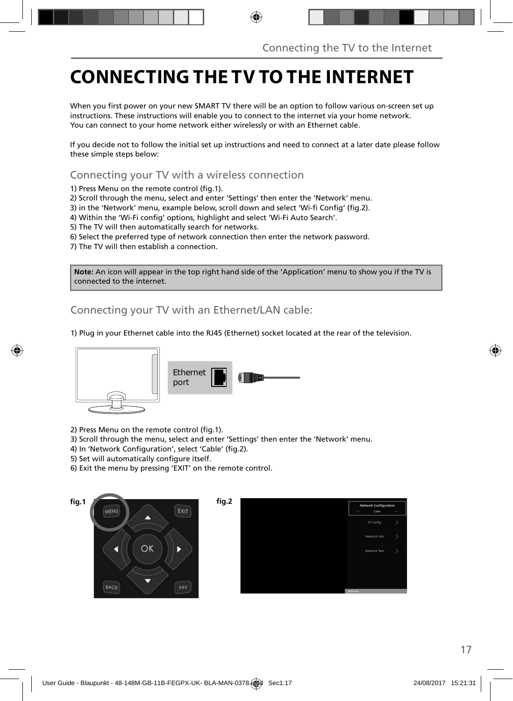## **CONNECTING THE TV TO THE INTERNET**

When you first power on your new SMART TV there will be an option to follow various on-screen set up instructions. These instructions will enable you to connect to the internet via your home network. You can connect to your home network either wirelessly or with an Ethernet cable.

If you decide not to follow the initial set up instructions and need to connect at a later date please follow these simple steps below:

Connecting your TV with a wireless connection

1) Press Menu on the remote control (fig. 1).

2) Scroll through the menu, select and enter 'Settings' then enter the 'Network' menu.

3) in the 'Network' menu, example below, scroll down and select 'Wi-fi Config' (fig.2).

4) Within the 'Wi-Fi config' options, highlight and select 'Wi-Fi Auto Search'.

5) The TV will then automatically search for networks.

6) Select the preferred type of network connection then enter the network password.

7) The TV will then establish a connection.

**Note:** An icon will appear in the top right hand side of the 'Application' menu to show you if the TV is connected to the internet.

Connecting your TV with an Ethernet/LAN cable:

1) Plug in your Ethernet cable into the RJ45 (Ethernet) socket located at the rear of the television.



- 2) Press Menu on the remote control (fig.1).
- 3) Scroll through the menu, select and enter 'Settings' then enter the 'Network' menu.
- 4) In 'Network Configuration', select 'Cable' (fig.2).
- 5) Set will automatically configure itself.
- 6) Exit the menu by pressing 'EXIT' on the remote control.





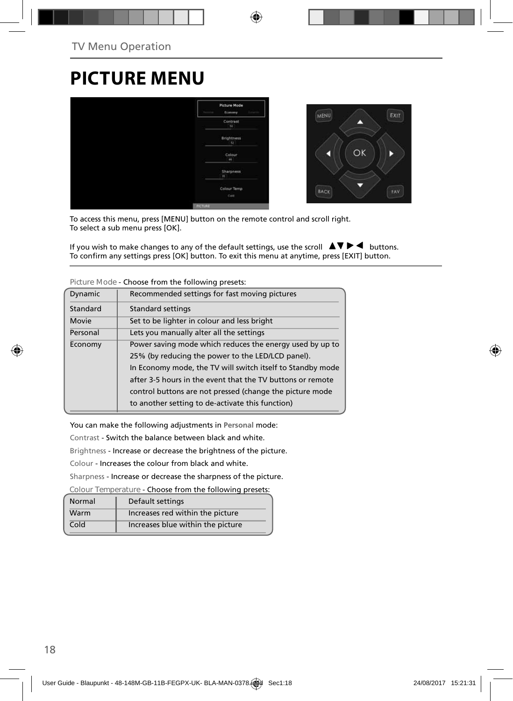## **PICTURE MENU**



To access this menu, press [MENU] button on the remote control and scroll right. To select a sub menu press [OK].

If you wish to make changes to any of the default settings, use the scroll  $\Box \blacktriangleright \blacktriangleleft$  buttons. To confirm any settings press [OK] button. To exit this menu at anytime, press [EXIT] button.

| Dynamic  | Recommended settings for fast moving pictures              |
|----------|------------------------------------------------------------|
| Standard | <b>Standard settings</b>                                   |
| Movie    | Set to be lighter in colour and less bright                |
| Personal | Lets you manually alter all the settings                   |
| Economy  | Power saving mode which reduces the energy used by up to   |
|          | 25% (by reducing the power to the LED/LCD panel).          |
|          | In Economy mode, the TV will switch itself to Standby mode |
|          | after 3-5 hours in the event that the TV buttons or remote |
|          | control buttons are not pressed (change the picture mode   |
|          | to another setting to de-activate this function)           |

**Picture Mode** - Choose from the following presets:

You can make the following adjustments in **Personal** mode:

Contrast - Switch the balance between black and white.

Brightness - Increase or decrease the brightness of the picture.

Colour - Increases the colour from black and white.

Sharpness - Increase or decrease the sharpness of the picture.

**Colour Temperature** - Choose from the following presets:

| Normal | Default settings                  |
|--------|-----------------------------------|
| Warm   | Increases red within the picture  |
| Cold   | Increases blue within the picture |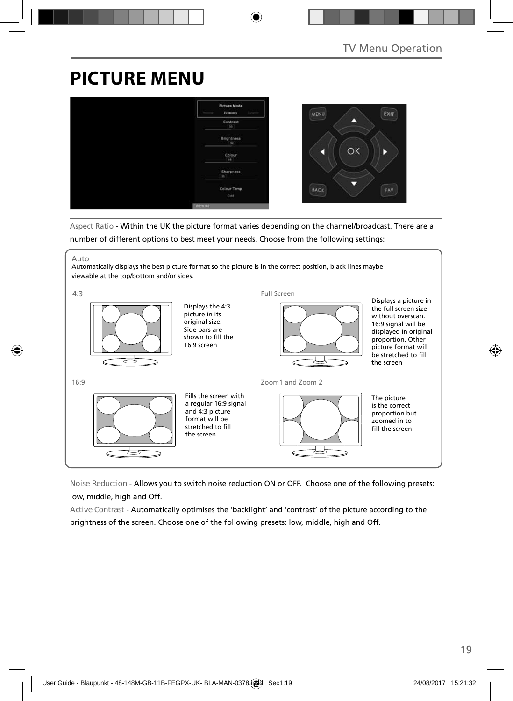## **PICTURE MENU**



Aspect Ratio - Within the UK the picture format varies depending on the channel/broadcast. There are a number of different options to best meet your needs. Choose from the following settings:



**Noise Reduction** - Allows you to switch noise reduction ON or OFF. Choose one of the following presets: low, middle, high and Off.

**Active Contrast** - Automatically optimises the 'backlight' and 'contrast' of the picture according to the brightness of the screen. Choose one of the following presets: low, middle, high and Off.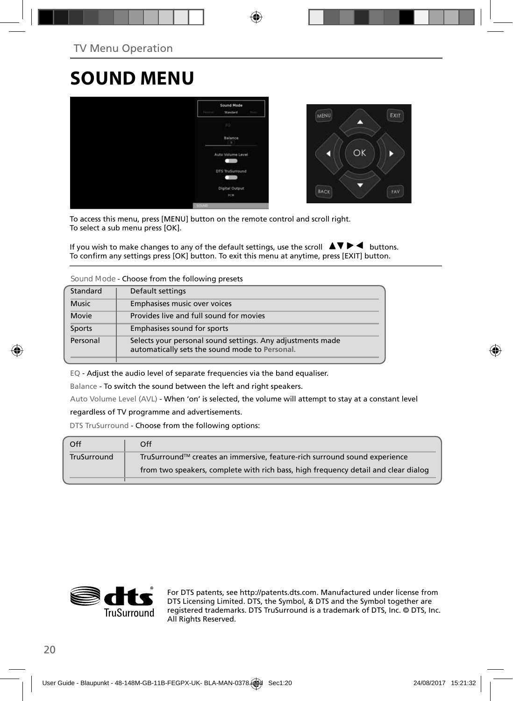## **SOUND MENU**



To access this menu, press [MENU] button on the remote control and scroll right. To select a sub menu press [OK].

If you wish to make changes to any of the default settings, use the scroll  $\blacktriangle \blacktriangledown \blacktriangleright \blacktriangleleft$  buttons. To confirm any settings press [OK] button. To exit this menu at anytime, press [EXIT] button.

**Sound Mode** - Choose from the following presets

| Standard     | Default settings                                                                                             |
|--------------|--------------------------------------------------------------------------------------------------------------|
| <b>Music</b> | Emphasises music over voices                                                                                 |
| Movie        | Provides live and full sound for movies                                                                      |
| Sports       | Emphasises sound for sports                                                                                  |
| Personal     | Selects your personal sound settings. Any adjustments made<br>automatically sets the sound mode to Personal. |

EQ - Adjust the audio level of separate frequencies via the band equaliser.

Balance - To switch the sound between the left and right speakers.

Auto Volume Level (AVL) - When 'on' is selected, the volume will attempt to stay at a constant level regardless of TV programme and advertisements.

DTS TruSurround - Choose from the following options:

| Off         | Off                                                                                |
|-------------|------------------------------------------------------------------------------------|
| TruSurround | TruSurround™ creates an immersive, feature-rich surround sound experience          |
|             | from two speakers, complete with rich bass, high frequency detail and clear dialog |
|             |                                                                                    |



For DTS patents, see http://patents.dts.com. Manufactured under license from DTS Licensing Limited. DTS, the Symbol, & DTS and the Symbol together are registered trademarks. DTS TruSurround is a trademark of DTS, Inc. © DTS, Inc. All Rights Reserved.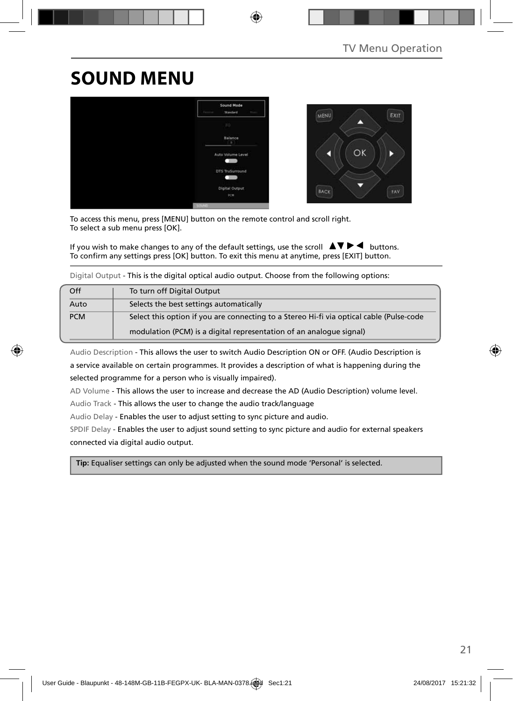# **SOUND MENU**



To access this menu, press [MENU] button on the remote control and scroll right. To select a sub menu press [OK].

If you wish to make changes to any of the default settings, use the scroll  $\blacktriangle \blacktriangledown \blacktriangleright \blacktriangleleft$  buttons. To confirm any settings press [OK] button. To exit this menu at anytime, press [EXIT] button.

Digital Output - This is the digital optical audio output. Choose from the following options:

| Off        | To turn off Digital Output                                                               |
|------------|------------------------------------------------------------------------------------------|
| Auto       | Selects the best settings automatically                                                  |
| <b>PCM</b> | Select this option if you are connecting to a Stereo Hi-fi via optical cable (Pulse-code |
|            | modulation (PCM) is a digital representation of an analogue signal)                      |

Audio Description - This allows the user to switch Audio Description ON or OFF. (Audio Description is a service available on certain programmes. It provides a description of what is happening during the selected programme for a person who is visually impaired).

AD Volume - This allows the user to increase and decrease the AD (Audio Description) volume level.

Audio Track - This allows the user to change the audio track/language

Audio Delay - Enables the user to adjust setting to sync picture and audio.

SPDIF Delay - Enables the user to adjust sound setting to sync picture and audio for external speakers connected via digital audio output.

 **Tip:** Equaliser settings can only be adjusted when the sound mode 'Personal' is selected.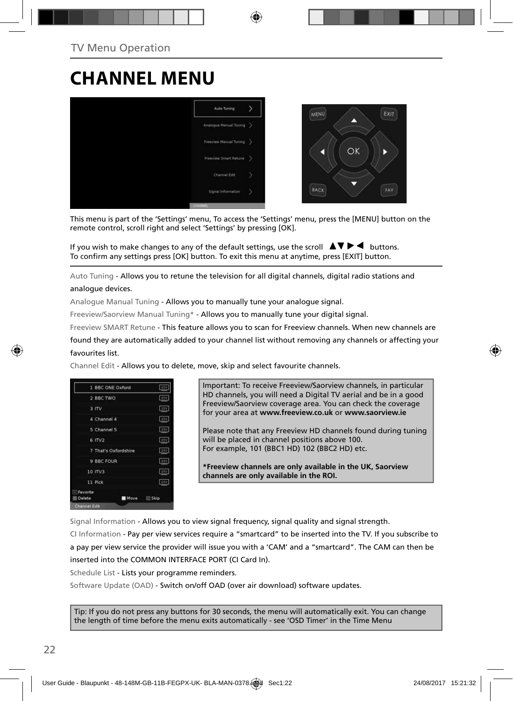## **CHANNEL MENU**



This menu is part of the 'Settings' menu, To access the 'Settings' menu, press the [MENU] button on the remote control, scroll right and select 'Settings' by pressing [OK].

If you wish to make changes to any of the default settings, use the scroll  $\Box \blacktriangledown \blacktriangleright \blacktriangleleft$  buttons. To confirm any settings press [OK] button. To exit this menu at anytime, press [EXIT] button.

Auto Tuning - Allows you to retune the television for all digital channels, digital radio stations and analogue devices.

Analogue Manual Tuning - Allows you to manually tune your analogue signal.

Freeview/Saorview Manual Tuning\* - Allows you to manually tune your digital signal.

Freeview SMART Retune - This feature allows you to scan for Freeview channels. When new channels are

found they are automatically added to your channel list without removing any channels or affecting your favourites list.

Channel Edit - Allows you to delete, move, skip and select favourite channels.



Important: To receive Freeview/Saorview channels, in particular HD channels, you will need a Digital TV aerial and be in a good Freeview/Saorview coverage area. You can check the coverage for your area at **www.freeview.co.uk** or **www.saorview.ie**

Please note that any Freeview HD channels found during tuning will be placed in channel positions above 100. For example, 101 (BBC1 HD) 102 (BBC2 HD) etc.

**\*Freeview channels are only available in the UK, Saorview channels are only available in the ROI.**

Signal Information - Allows you to view signal frequency, signal quality and signal strength.

CI Information - Pay per view services require a "smartcard" to be inserted into the TV. If you subscribe to a pay per view service the provider will issue you with a 'CAM' and a "smartcard". The CAM can then be inserted into the COMMON INTERFACE PORT (CI Card In).

Schedule List - Lists your programme reminders.

Software Update (OAD) - Switch on/off OAD (over air download) software updates.

Tip: If you do not press any buttons for 30 seconds, the menu will automatically exit. You can change the length of time before the menu exits automatically - see 'OSD Timer' in the Time Menu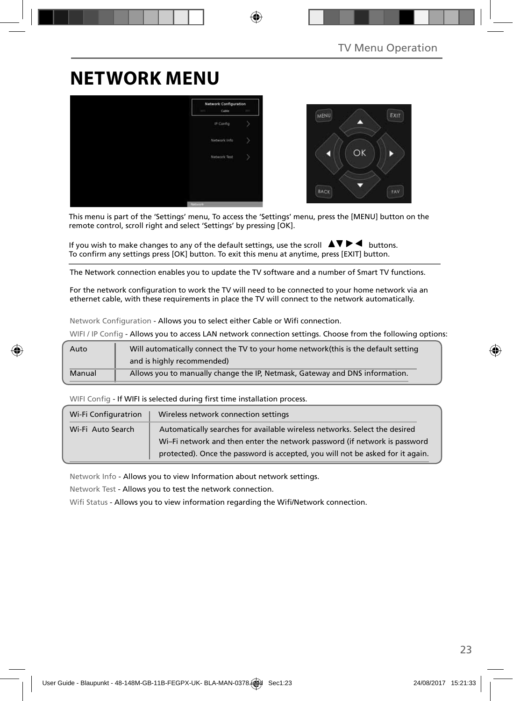## **NETWORK MENU**



This menu is part of the 'Settings' menu, To access the 'Settings' menu, press the [MENU] button on the remote control, scroll right and select 'Settings' by pressing [OK].

If you wish to make changes to any of the default settings, use the scroll  $\Box \blacktriangledown \blacktriangleright \blacktriangleleft$  buttons. To confirm any settings press [OK] button. To exit this menu at anytime, press [EXIT] button.

The Network connection enables you to update the TV software and a number of Smart TV functions.

For the network configuration to work the TV will need to be connected to your home network via an ethernet cable, with these requirements in place the TV will connect to the network automatically.

Network Configuration - Allows you to select either Cable or Wifi connection.

WIFI / IP Config - Allows you to access LAN network connection settings. Choose from the following options:

| Auto   | Will automatically connect the TV to your home network (this is the default setting |
|--------|-------------------------------------------------------------------------------------|
|        | and is highly recommended)                                                          |
| Manual | Allows you to manually change the IP, Netmask, Gateway and DNS information.         |

WIFI Config - If WIFI is selected during first time installation process.

| Wi-Fi Configuratrion | Wireless network connection settings                                           |
|----------------------|--------------------------------------------------------------------------------|
| Wi-Fi Auto Search    | Automatically searches for available wireless networks. Select the desired     |
|                      | Wi-Fi network and then enter the network password (if network is password      |
|                      | protected). Once the password is accepted, you will not be asked for it again. |

Network Info - Allows you to view Information about network settings.

Network Test - Allows you to test the network connection.

Wifi Status - Allows you to view information regarding the Wifi/Network connection.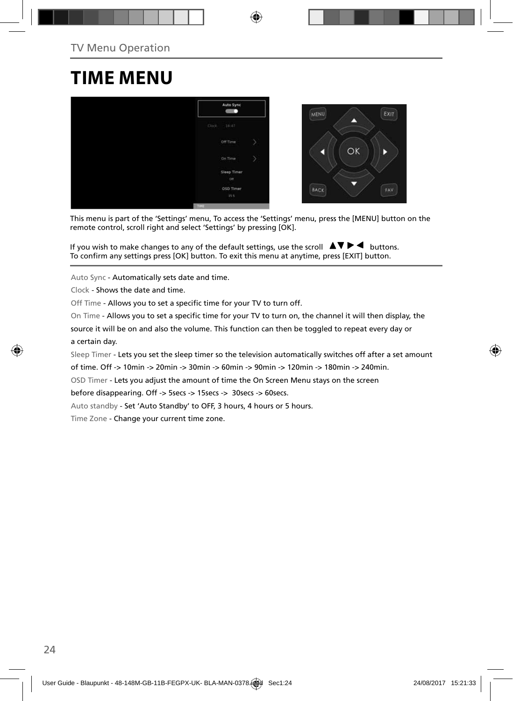## **TIME MENU**



This menu is part of the 'Settings' menu, To access the 'Settings' menu, press the [MENU] button on the remote control, scroll right and select 'Settings' by pressing [OK].

If you wish to make changes to any of the default settings, use the scroll  $\Box \blacktriangledown \blacktriangleright \blacktriangleleft$  buttons. To confirm any settings press [OK] button. To exit this menu at anytime, press [EXIT] button.

Auto Sync - Automatically sets date and time.

Clock - Shows the date and time.

Off Time - Allows you to set a specific time for your TV to turn off.

On Time - Allows you to set a specific time for your TV to turn on, the channel it will then display, the

source it will be on and also the volume. This function can then be toggled to repeat every day or a certain day.

Sleep Timer - Lets you set the sleep timer so the television automatically switches off after a set amount

of time. Off -> 10min -> 20min -> 30min -> 60min -> 90min -> 120min -> 180min -> 240min.

OSD Timer - Lets you adjust the amount of time the On Screen Menu stays on the screen

before disappearing. Off -> 5secs -> 15secs -> 30secs -> 60secs.

Auto standby - Set 'Auto Standby' to OFF, 3 hours, 4 hours or 5 hours.

Time Zone - Change your current time zone.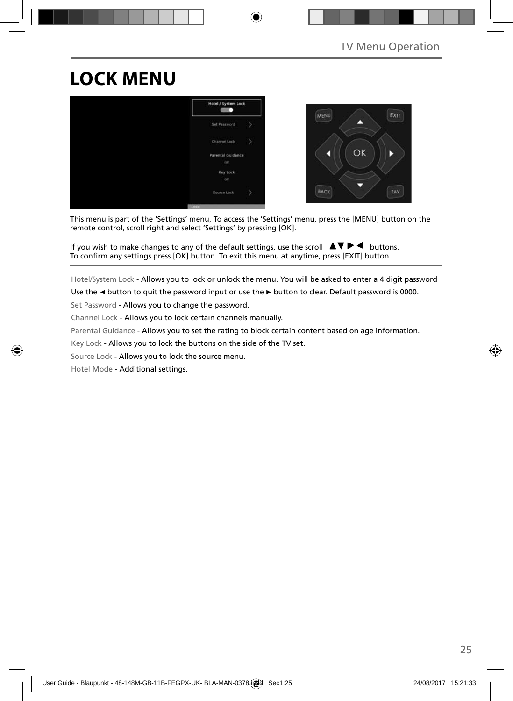## **LOCK MENU**



This menu is part of the 'Settings' menu, To access the 'Settings' menu, press the [MENU] button on the remote control, scroll right and select 'Settings' by pressing [OK].

If you wish to make changes to any of the default settings, use the scroll  $\Box \blacktriangledown \blacktriangleright \blacktriangleleft$  buttons. To confirm any settings press [OK] button. To exit this menu at anytime, press [EXIT] button.

Hotel/System Lock - Allows you to lock or unlock the menu. You will be asked to enter a 4 digit password

Use the **◄** button to quit the password input or use the **►** button to clear. Default password is 0000.

Set Password - Allows you to change the password.

Channel Lock - Allows you to lock certain channels manually.

Parental Guidance - Allows you to set the rating to block certain content based on age information.

Key Lock - Allows you to lock the buttons on the side of the TV set.

Source Lock - Allows you to lock the source menu.

Hotel Mode - Additional settings.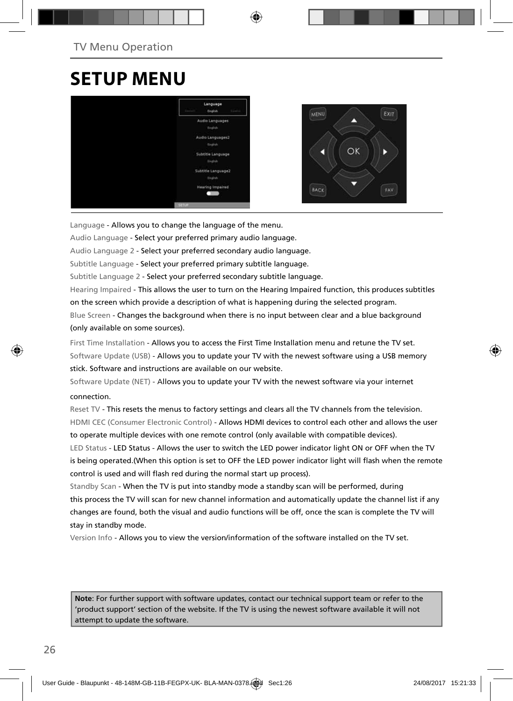## **SETUP MENU**



Language - Allows you to change the language of the menu.

Audio Language - Select your preferred primary audio language.

Audio Language 2 - Select your preferred secondary audio language.

Subtitle Language - Select your preferred primary subtitle language.

Subtitle Language 2 - Select your preferred secondary subtitle language.

Hearing Impaired - This allows the user to turn on the Hearing Impaired function, this produces subtitles on the screen which provide a description of what is happening during the selected program.

Blue Screen - Changes the background when there is no input between clear and a blue background (only available on some sources).

First Time Installation - Allows you to access the First Time Installation menu and retune the TV set. Software Update (USB) - Allows you to update your TV with the newest software using a USB memory stick. Software and instructions are available on our website.

Software Update (NET) - Allows you to update your TV with the newest software via your internet connection.

Reset TV - This resets the menus to factory settings and clears all the TV channels from the television. HDMI CEC (Consumer Electronic Control) - Allows HDMI devices to control each other and allows the user to operate multiple devices with one remote control (only available with compatible devices).

LED Status - LED Status - Allows the user to switch the LED power indicator light ON or OFF when the TV is being operated.(When this option is set to OFF the LED power indicator light will flash when the remote control is used and will flash red during the normal start up process).

Standby Scan - When the TV is put into standby mode a standby scan will be performed, during this process the TV will scan for new channel information and automatically update the channel list if any changes are found, both the visual and audio functions will be off, once the scan is complete the TV will stay in standby mode.

Version Info - Allows you to view the version/information of the software installed on the TV set.

**Note**: For further support with software updates, contact our technical support team or refer to the 'product support' section of the website. If the TV is using the newest software available it will not attempt to update the software.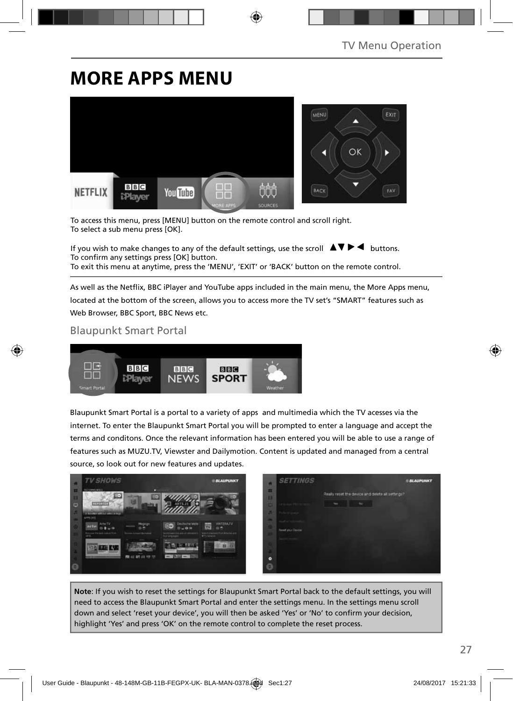## **MORE APPS MENU**



To access this menu, press [MENU] button on the remote control and scroll right. To select a sub menu press [OK].

If you wish to make changes to any of the default settings, use the scroll  $\Box \blacktriangledown \blacktriangleright \blacktriangleleft$  buttons. To confirm any settings press [OK] button. To exit this menu at anytime, press the 'MENU', 'EXIT' or 'BACK' button on the remote control.

As well as the Netflix, BBC iPlayer and YouTube apps included in the main menu, the More Apps menu, located at the bottom of the screen, allows you to access more the TV set's "SMART" features such as Web Browser, BBC Sport, BBC News etc.

### Blaupunkt Smart Portal



Blaupunkt Smart Portal is a portal to a variety of apps and multimedia which the TV acesses via the internet. To enter the Blaupunkt Smart Portal you will be prompted to enter a language and accept the terms and conditons. Once the relevant information has been entered you will be able to use a range of features such as MUZU.TV, Viewster and Dailymotion. Content is updated and managed from a central source, so look out for new features and updates.



**Note**: If you wish to reset the settings for Blaupunkt Smart Portal back to the default settings, you will need to access the Blaupunkt Smart Portal and enter the settings menu. In the settings menu scroll down and select 'reset your device', you will then be asked 'Yes' or 'No' to confirm your decision, highlight 'Yes' and press 'OK' on the remote control to complete the reset process.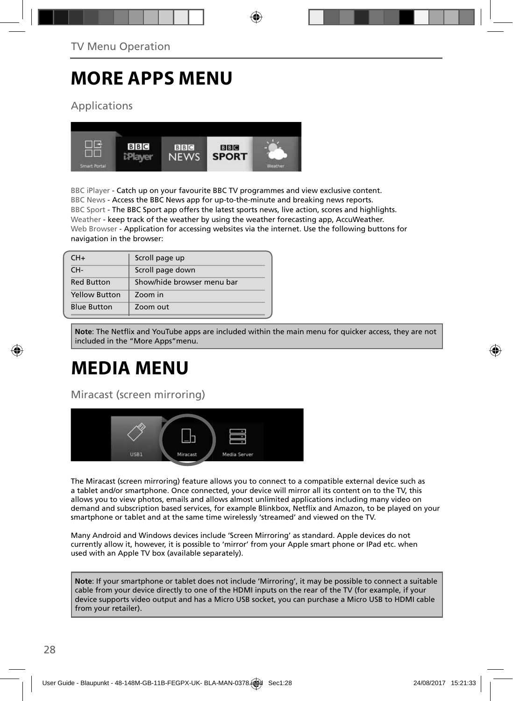## **MORE APPS MENU**

### Applications



BBC iPlayer - Catch up on your favourite BBC TV programmes and view exclusive content. BBC News - Access the BBC News app for up-to-the-minute and breaking news reports. BBC Sport - The BBC Sport app offers the latest sports news, live action, scores and highlights. Weather - keep track of the weather by using the weather forecasting app, AccuWeather. Web Browser - Application for accessing websites via the internet. Use the following buttons for navigation in the browser:

| $CH+$                | Scroll page up             |
|----------------------|----------------------------|
| CH-                  | Scroll page down           |
| <b>Red Button</b>    | Show/hide browser menu bar |
| <b>Yellow Button</b> | Zoom in                    |
| <b>Blue Button</b>   | Zoom out                   |

Note: The Netflix and YouTube apps are included within the main menu for quicker access, they are not included in the "More Apps"menu.

# **MEDIA MENU**

Miracast (screen mirroring)



The Miracast (screen mirroring) feature allows you to connect to a compatible external device such as a tablet and/or smartphone. Once connected, your device will mirror all its content on to the TV, this allows you to view photos, emails and allows almost unlimited applications including many video on demand and subscription based services, for example Blinkbox, Netflix and Amazon, to be played on your smartphone or tablet and at the same time wirelessly 'streamed' and viewed on the TV.

Many Android and Windows devices include 'Screen Mirroring' as standard. Apple devices do not currently allow it, however, it is possible to 'mirror' from your Apple smart phone or IPad etc. when used with an Apple TV box (available separately).

**Note**: If your smartphone or tablet does not include 'Mirroring', it may be possible to connect a suitable cable from your device directly to one of the HDMI inputs on the rear of the TV (for example, if your device supports video output and has a Micro USB socket, you can purchase a Micro USB to HDMI cable from your retailer).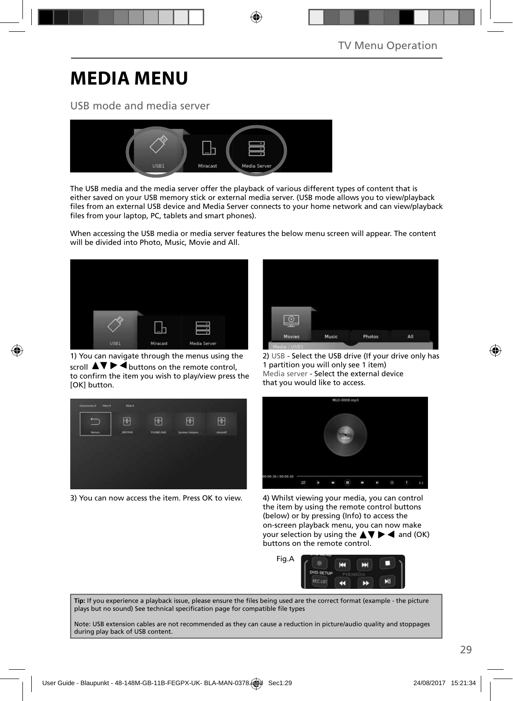## **MEDIA MENU**

### USB mode and media server



The USB media and the media server offer the playback of various different types of content that is either saved on your USB memory stick or external media server. (USB mode allows you to view/playback files from an external USB device and Media Server connects to your home network and can view/playback files from your laptop, PC, tablets and smart phones).

When accessing the USB media or media server features the below menu screen will appear. The content will be divided into Photo, Music, Movie and All.



1) You can navigate through the menus using the scroll  $\Delta \nabla \triangleright$   $\blacktriangle$  buttons on the remote control, to confirm the item you wish to play/view press the [OK] button.



3) You can now access the item. Press OK to view. 4) Whilst viewing your media, you can control



2) USB - Select the USB drive (If your drive only has 1 partition you will only see 1 item) Media server - Select the external device that you would like to access.



the item by using the remote control buttons (below) or by pressing (Info) to access the on-screen playback menu, you can now make your selection by using the  $\triangle \blacktriangledown \blacktriangleright \blacktriangleleft$  and (OK) buttons on the remote control.



Tip: If you experience a playback issue, please ensure the files being used are the correct format (example - the picture plays but no sound) See technical specification page for compatible file types

Note: USB extension cables are not recommended as they can cause a reduction in picture/audio quality and stoppages during play back of USB content.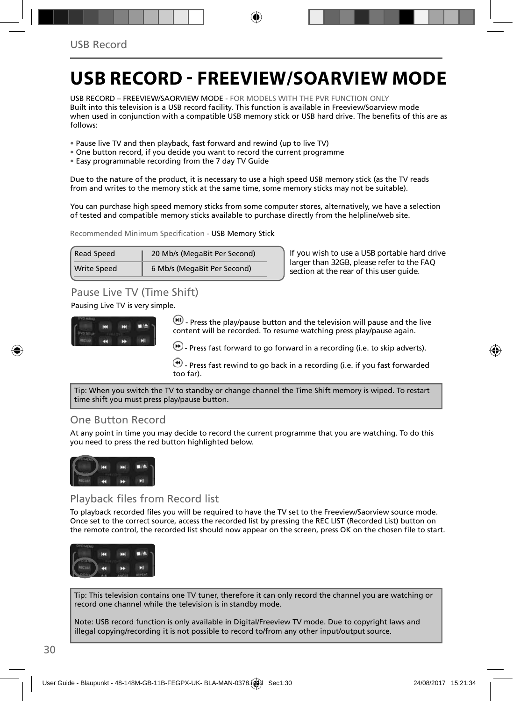# **USB RECORD - FREEVIEW/SOARVIEW MODE**

USB RECORD – FREEVIEW/SAORVIEW MODE - FOR MODELS WITH THE PVR FUNCTION ONLY Built into this television is a USB record facility. This function is available in Freeview/Soarview mode when used in conjunction with a compatible USB memory stick or USB hard drive. The benefits of this are as follows:

- Pause live TV and then playback, fast forward and rewind (up to live TV)
- One button record, if you decide you want to record the current programme
- Easy programmable recording from the 7 day TV Guide

Due to the nature of the product, it is necessary to use a high speed USB memory stick (as the TV reads from and writes to the memory stick at the same time, some memory sticks may not be suitable).

You can purchase high speed memory sticks from some computer stores, alternatively, we have a selection of tested and compatible memory sticks available to purchase directly from the helpline/web site.

Recommended Minimum Specification - USB Memory Stick

| <b>Read Speed</b>  | 20 Mb/s (MegaBit Per Second) |  |
|--------------------|------------------------------|--|
| <b>Write Speed</b> | 6 Mb/s (MegaBit Per Second)  |  |

**If you wish to use a USB portable hard drive larger than 32GB, please refer to the FAQ section at the rear of this user guide.**

### Pause Live TV (Time Shift)

Pausing Live TV is very simple.



 $\left(\mathbf{H}\right)$  - Press the play/pause button and the television will pause and the live content will be recorded. To resume watching press play/pause again.

 $\bullet$  - Press fast forward to go forward in a recording (i.e. to skip adverts).

 $\bigcirc$  - Press fast rewind to go back in a recording (i.e. if you fast forwarded too far).

Tip: When you switch the TV to standby or change channel the Time Shift memory is wiped. To restart time shift you must press play/pause button.

### One Button Record

At any point in time you may decide to record the current programme that you are watching. To do this you need to press the red button highlighted below.



### Playback files from Record list

To playback recorded files you will be required to have the TV set to the Freeview/Saorview source mode. Once set to the correct source, access the recorded list by pressing the REC LIST (Recorded List) button on the remote control, the recorded list should now appear on the screen, press OK on the chosen file to start.



Tip: This television contains one TV tuner, therefore it can only record the channel you are watching or record one channel while the television is in standby mode.

Note: USB record function is only available in Digital/Freeview TV mode. Due to copyright laws and illegal copying/recording it is not possible to record to/from any other input/output source.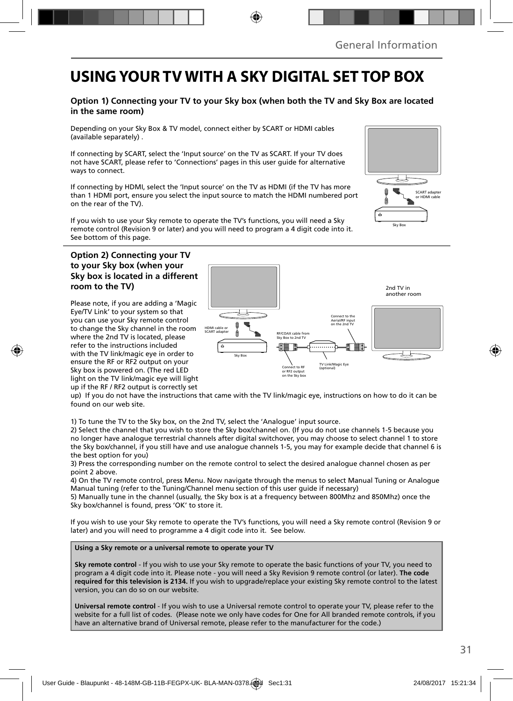### **USING YOUR TV WITH A SKY DIGITAL SET TOP BOX**

#### **Option 1) Connecting your TV to your Sky box (when both the TV and Sky Box are located in the same room)**

Depending on your Sky Box & TV model, connect either by SCART or HDMI cables (available separately) .

If connecting by SCART, select the 'Input source' on the TV as SCART. If your TV does not have SCART, please refer to 'Connections' pages in this user guide for alternative ways to connect.

If connecting by HDMI, select the 'Input source' on the TV as HDMI (if the TV has more than 1 HDMI port, ensure you select the input source to match the HDMI numbered port on the rear of the TV).

If you wish to use your Sky remote to operate the TV's functions, you will need a Sky remote control (Revision 9 or later) and you will need to program a 4 digit code into it. See bottom of this page.

#### **Option 2) Connecting your TV to your Sky box (when your Sky box is located in a different room to the TV)**

Please note, if you are adding a 'Magic Eye/TV Link' to your system so that you can use your Sky remote control to change the Sky channel in the room where the 2nd TV is located, please refer to the instructions included with the TV link/magic eye in order to ensure the RF or RF2 output on your Sky box is powered on. (The red LED light on the TV link/magic eye will light up if the RF / RF2 output is correctly set



up) If you do not have the instructions that came with the TV link/magic eye, instructions on how to do it can be found on our web site.

1) To tune the TV to the Sky box, on the 2nd TV, select the 'Analogue' input source.

2) Select the channel that you wish to store the Sky box/channel on. (If you do not use channels 1-5 because you no longer have analogue terrestrial channels after digital switchover, you may choose to select channel 1 to store the Sky box/channel, if you still have and use analogue channels 1-5, you may for example decide that channel 6 is the best option for you)

3) Press the corresponding number on the remote control to select the desired analogue channel chosen as per point 2 above.

4) On the TV remote control, press Menu. Now navigate through the menus to select Manual Tuning or Analogue Manual tuning (refer to the Tuning/Channel menu section of this user guide if necessary)

5) Manually tune in the channel (usually, the Sky box is at a frequency between 800Mhz and 850Mhz) once the Sky box/channel is found, press 'OK' to store it.

If you wish to use your Sky remote to operate the TV's functions, you will need a Sky remote control (Revision 9 or later) and you will need to programme a 4 digit code into it. See below.

**Using a Sky remote or a universal remote to operate your TV** 

**Sky remote control** - If you wish to use your Sky remote to operate the basic functions of your TV, you need to program a 4 digit code into it. Please note - you will need a Sky Revision 9 remote control (or later). **The code required for this television is 2134.** If you wish to upgrade/replace your existing Sky remote control to the latest version, you can do so on our website.

**Universal remote control** - If you wish to use a Universal remote control to operate your TV, please refer to the website for a full list of codes. (Please note we only have codes for One for All branded remote controls, if you have an alternative brand of Universal remote, please refer to the manufacturer for the code.)

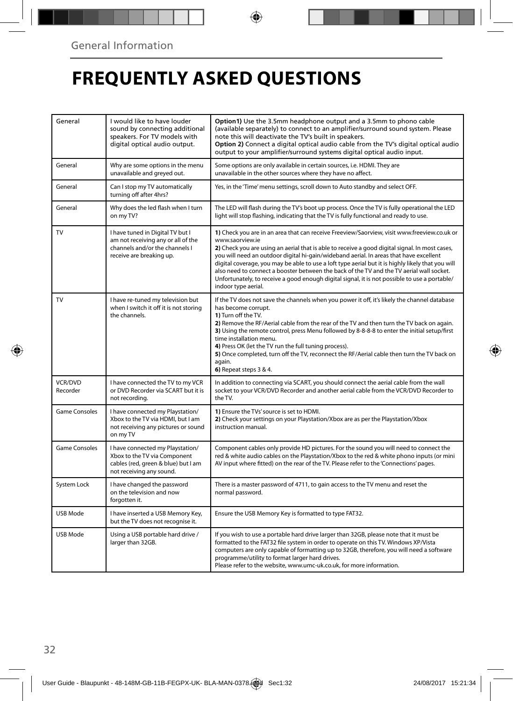## **FREQUENTLY ASKED QUESTIONS**

| General                    | I would like to have louder<br>sound by connecting additional<br>speakers. For TV models with<br>digital optical audio output.       | Option1) Use the 3.5mm headphone output and a 3.5mm to phono cable<br>(available separately) to connect to an amplifier/surround sound system. Please<br>note this will deactivate the TV's built in speakers.<br>Option 2) Connect a digital optical audio cable from the TV's digital optical audio<br>output to your amplifier/surround systems digital optical audio input.                                                                                                                                                                                                                                                     |
|----------------------------|--------------------------------------------------------------------------------------------------------------------------------------|-------------------------------------------------------------------------------------------------------------------------------------------------------------------------------------------------------------------------------------------------------------------------------------------------------------------------------------------------------------------------------------------------------------------------------------------------------------------------------------------------------------------------------------------------------------------------------------------------------------------------------------|
| General                    | Why are some options in the menu<br>unavailable and greyed out.                                                                      | Some options are only available in certain sources, i.e. HDMI. They are<br>unavailable in the other sources where they have no affect.                                                                                                                                                                                                                                                                                                                                                                                                                                                                                              |
| General                    | Can I stop my TV automatically<br>turning off after 4hrs?                                                                            | Yes, in the 'Time' menu settings, scroll down to Auto standby and select OFF.                                                                                                                                                                                                                                                                                                                                                                                                                                                                                                                                                       |
| General                    | Why does the led flash when I turn<br>on my TV?                                                                                      | The LED will flash during the TV's boot up process. Once the TV is fully operational the LED<br>light will stop flashing, indicating that the TV is fully functional and ready to use.                                                                                                                                                                                                                                                                                                                                                                                                                                              |
| TV                         | I have tuned in Digital TV but I<br>am not receiving any or all of the<br>channels and/or the channels I<br>receive are breaking up. | 1) Check you are in an area that can receive Freeview/Saorview, visit www.freeview.co.uk or<br>www.saorview.ie<br>2) Check you are using an aerial that is able to receive a good digital signal. In most cases,<br>you will need an outdoor digital hi-gain/wideband aerial. In areas that have excellent<br>digital coverage, you may be able to use a loft type aerial but it is highly likely that you will<br>also need to connect a booster between the back of the TV and the TV aerial wall socket.<br>Unfortunately, to receive a good enough digital signal, it is not possible to use a portable/<br>indoor type aerial. |
| <b>TV</b>                  | I have re-tuned my television but<br>when I switch it off it is not storing<br>the channels.                                         | If the TV does not save the channels when you power it off, it's likely the channel database<br>has become corrupt.<br>1) Turn off the TV.<br>2) Remove the RF/Aerial cable from the rear of the TV and then turn the TV back on again.<br>3) Using the remote control, press Menu followed by 8-8-8-8 to enter the initial setup/first<br>time installation menu.<br>4) Press OK (let the TV run the full tuning process).<br>5) Once completed, turn off the TV, reconnect the RF/Aerial cable then turn the TV back on<br>again.<br>6) Repeat steps 3 & 4.                                                                       |
| <b>VCR/DVD</b><br>Recorder | I have connected the TV to my VCR<br>or DVD Recorder via SCART but it is<br>not recording.                                           | In addition to connecting via SCART, you should connect the aerial cable from the wall<br>socket to your VCR/DVD Recorder and another aerial cable from the VCR/DVD Recorder to<br>the TV.                                                                                                                                                                                                                                                                                                                                                                                                                                          |
| <b>Game Consoles</b>       | I have connected my Playstation/<br>Xbox to the TV via HDMI, but I am<br>not receiving any pictures or sound<br>on my TV             | 1) Ensure the TVs' source is set to HDMI.<br>2) Check your settings on your Playstation/Xbox are as per the Playstation/Xbox<br>instruction manual.                                                                                                                                                                                                                                                                                                                                                                                                                                                                                 |
| <b>Game Consoles</b>       | I have connected my Playstation/<br>Xbox to the TV via Component<br>cables (red, green & blue) but I am<br>not receiving any sound.  | Component cables only provide HD pictures. For the sound you will need to connect the<br>red & white audio cables on the Playstation/Xbox to the red & white phono inputs (or mini<br>AV input where fitted) on the rear of the TV. Please refer to the 'Connections' pages.                                                                                                                                                                                                                                                                                                                                                        |
| System Lock                | I have changed the password<br>on the television and now<br>forgotten it.                                                            | There is a master password of 4711, to gain access to the TV menu and reset the<br>normal password.                                                                                                                                                                                                                                                                                                                                                                                                                                                                                                                                 |
| USB Mode                   | I have inserted a USB Memory Key,<br>but the TV does not recognise it.                                                               | Ensure the USB Memory Key is formatted to type FAT32.                                                                                                                                                                                                                                                                                                                                                                                                                                                                                                                                                                               |
| USB Mode                   | Using a USB portable hard drive /<br>larger than 32GB.                                                                               | If you wish to use a portable hard drive larger than 32GB, please note that it must be<br>formatted to the FAT32 file system in order to operate on this TV. Windows XP/Vista<br>computers are only capable of formatting up to 32GB, therefore, you will need a software<br>programme/utility to format larger hard drives.<br>Please refer to the website, www.umc-uk.co.uk, for more information.                                                                                                                                                                                                                                |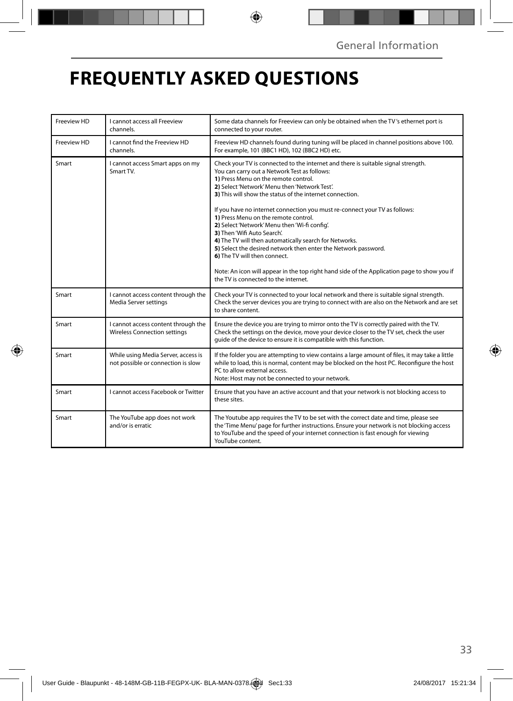# **FREQUENTLY ASKED QUESTIONS**

| Freeview HD | I cannot access all Freeview<br>channels.                                  | Some data channels for Freeview can only be obtained when the TV's ethernet port is<br>connected to your router.                                                                                                                                                                                                                                                                                                                                                                                                                                                                                                                                                                                                                                                                                |  |
|-------------|----------------------------------------------------------------------------|-------------------------------------------------------------------------------------------------------------------------------------------------------------------------------------------------------------------------------------------------------------------------------------------------------------------------------------------------------------------------------------------------------------------------------------------------------------------------------------------------------------------------------------------------------------------------------------------------------------------------------------------------------------------------------------------------------------------------------------------------------------------------------------------------|--|
| Freeview HD | I cannot find the Freeview HD<br>channels.                                 | Freeview HD channels found during tuning will be placed in channel positions above 100.<br>For example, 101 (BBC1 HD), 102 (BBC2 HD) etc.                                                                                                                                                                                                                                                                                                                                                                                                                                                                                                                                                                                                                                                       |  |
| Smart       | I cannot access Smart apps on my<br>Smart TV.                              | Check your TV is connected to the internet and there is suitable signal strength.<br>You can carry out a Network Test as follows:<br>1) Press Menu on the remote control.<br>2) Select 'Network' Menu then 'Network Test'.<br>3) This will show the status of the internet connection.<br>If you have no internet connection you must re-connect your TV as follows:<br>1) Press Menu on the remote control.<br>2) Select 'Network' Menu then 'Wi-fi config'.<br>3) Then 'Wifi Auto Search'.<br>4) The TV will then automatically search for Networks.<br>5) Select the desired network then enter the Network password.<br>6) The TV will then connect.<br>Note: An icon will appear in the top right hand side of the Application page to show you if<br>the TV is connected to the internet. |  |
| Smart       | I cannot access content through the<br>Media Server settings               | Check your TV is connected to your local network and there is suitable signal strength.<br>Check the server devices you are trying to connect with are also on the Network and are set<br>to share content.                                                                                                                                                                                                                                                                                                                                                                                                                                                                                                                                                                                     |  |
| Smart       | I cannot access content through the<br><b>Wireless Connection settings</b> | Ensure the device you are trying to mirror onto the TV is correctly paired with the TV.<br>Check the settings on the device, move your device closer to the TV set, check the user<br>quide of the device to ensure it is compatible with this function.                                                                                                                                                                                                                                                                                                                                                                                                                                                                                                                                        |  |
| Smart       | While using Media Server, access is<br>not possible or connection is slow  | If the folder you are attempting to view contains a large amount of files, it may take a little<br>while to load, this is normal, content may be blocked on the host PC. Reconfigure the host<br>PC to allow external access.<br>Note: Host may not be connected to your network.                                                                                                                                                                                                                                                                                                                                                                                                                                                                                                               |  |
| Smart       | I cannot access Facebook or Twitter                                        | Ensure that you have an active account and that your network is not blocking access to<br>these sites.                                                                                                                                                                                                                                                                                                                                                                                                                                                                                                                                                                                                                                                                                          |  |
| Smart       | The YouTube app does not work<br>and/or is erratic                         | The Youtube app requires the TV to be set with the correct date and time, please see<br>the 'Time Menu' page for further instructions. Ensure your network is not blocking access<br>to YouTube and the speed of your internet connection is fast enough for viewing<br>YouTube content.                                                                                                                                                                                                                                                                                                                                                                                                                                                                                                        |  |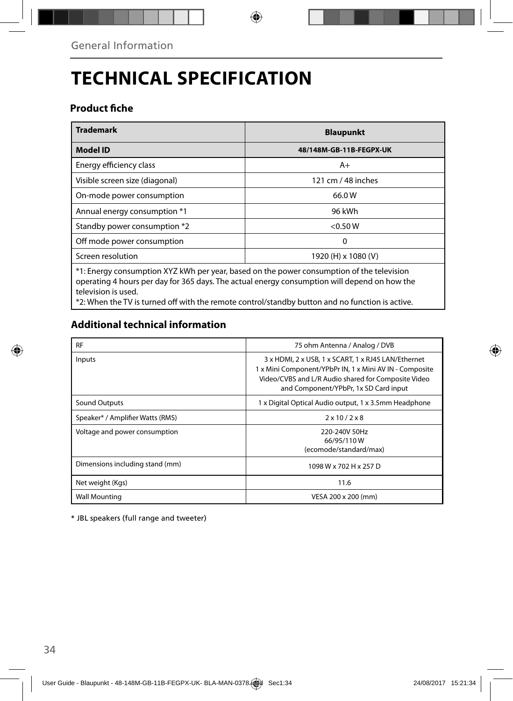## **TECHNICAL SPECIFICATION**

### **Product fiche**

| <b>Trademark</b>                                                                          | <b>Blaupunkt</b>        |  |  |
|-------------------------------------------------------------------------------------------|-------------------------|--|--|
| <b>Model ID</b>                                                                           | 48/148M-GB-11B-FEGPX-UK |  |  |
| Energy efficiency class                                                                   | $A+$                    |  |  |
| Visible screen size (diagonal)                                                            | 121 cm / 48 inches      |  |  |
| On-mode power consumption                                                                 | 66.0W                   |  |  |
| Annual energy consumption *1                                                              | 96 kWh                  |  |  |
| Standby power consumption *2                                                              | < 0.50 W                |  |  |
| Off mode power consumption                                                                | 0                       |  |  |
| Screen resolution                                                                         | 1920 (H) x 1080 (V)     |  |  |
| *1: Energy consumption XYZ kWh per year, based on the power consumption of the television |                         |  |  |

\*1: Energy consumption XYZ kWh per year, based on the power consumption of the television operating 4 hours per day for 365 days. The actual energy consumption will depend on how the television is used.

\*2: When the TV is turned off with the remote control/standby button and no function is active.

### **Additional technical information**

| <b>RF</b>                        | 75 ohm Antenna / Analog / DVB                                                                                                                                                                                  |
|----------------------------------|----------------------------------------------------------------------------------------------------------------------------------------------------------------------------------------------------------------|
| Inputs                           | 3 x HDMI, 2 x USB, 1 x SCART, 1 x RJ45 LAN/Ethernet<br>1 x Mini Component/YPbPr IN, 1 x Mini AV IN - Composite<br>Video/CVBS and L/R Audio shared for Composite Video<br>and Component/YPbPr, 1x SD Card input |
| Sound Outputs                    | 1 x Digital Optical Audio output, 1 x 3.5mm Headphone                                                                                                                                                          |
| Speaker* / Amplifier Watts (RMS) | $2 \times 10 / 2 \times 8$                                                                                                                                                                                     |
| Voltage and power consumption    | 220-240V 50Hz<br>66/95/110W<br>(ecomode/standard/max)                                                                                                                                                          |
| Dimensions including stand (mm)  | 1098 W x 702 H x 257 D                                                                                                                                                                                         |
| Net weight (Kgs)                 | 11.6                                                                                                                                                                                                           |
| <b>Wall Mounting</b>             | VESA 200 x 200 (mm)                                                                                                                                                                                            |

\* JBL speakers (full range and tweeter)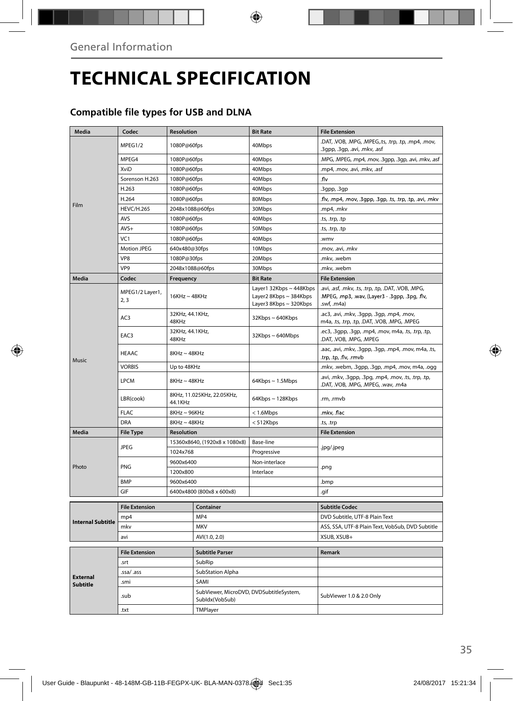## **TECHNICAL SPECIFICATION**

### **Compatible file types for USB and DLNA**

| Media                              | Codec                 | <b>Resolution</b>                     |                                                           | <b>Bit Rate</b>         | <b>File Extension</b>                                                                       |
|------------------------------------|-----------------------|---------------------------------------|-----------------------------------------------------------|-------------------------|---------------------------------------------------------------------------------------------|
|                                    |                       |                                       |                                                           |                         | .DAT, .VOB, .MPG, .MPEG,.ts, .trp, .tp, .mp4, .mov,                                         |
|                                    | MPEG1/2               | 1080P@60fps                           |                                                           | 40Mbps                  | .3gpp, .3gp, .avi, .mkv, .asf                                                               |
|                                    | MPEG4                 | 1080P@60fps                           |                                                           | 40Mbps                  | .MPG, .MPEG, .mp4, .mov, .3gpp, .3gp, .avi, .mkv, .asf                                      |
|                                    | XviD                  | 1080P@60fps                           |                                                           | 40Mbps                  | .mp4, .mov, .avi, .mkv, .asf                                                                |
|                                    | Sorenson H.263        | 1080P@60fps                           |                                                           | 40Mbps                  | .flv                                                                                        |
|                                    | H.263                 | 1080P@60fps                           |                                                           | 40Mbps                  | .3gpp, .3gp                                                                                 |
| Film                               | H.264                 | 1080P@60fps                           |                                                           | 80Mbps                  | .flv, .mp4, .mov, .3gpp, .3gp, .ts, .trp, .tp, .avi, .mkv                                   |
|                                    | <b>HEVC/H.265</b>     | 2048x1088@60fps                       |                                                           | 30Mbps                  | .mp4, .mkv                                                                                  |
|                                    | <b>AVS</b>            | 1080P@60fps                           |                                                           | 40Mbps                  | ts, .trp, .tp.                                                                              |
|                                    | $AVS+$                | 1080P@60fps                           |                                                           | 50Mbps                  | .ts, .trp, .tp                                                                              |
|                                    | VC <sub>1</sub>       | 1080P@60fps                           |                                                           | 40Mbps                  | .wmv                                                                                        |
|                                    | Motion JPEG           | 640x480@30fps                         |                                                           | 10Mbps                  | .mov, .avi, .mkv                                                                            |
|                                    | VP8                   | 1080P@30fps                           |                                                           | 20Mbps                  | .mkv, .webm                                                                                 |
|                                    | VP <sub>9</sub>       | 2048x1088@60fps                       |                                                           | 30Mbps                  | .mkv, .webm                                                                                 |
| Media                              | Codec                 | Frequency                             |                                                           | <b>Bit Rate</b>         | <b>File Extension</b>                                                                       |
|                                    | MPEG1/2 Layer1,       |                                       |                                                           | Layer1 32Kbps ~ 448Kbps | .avi, .asf, .mkv, .ts, .trp, .tp, .DAT, .VOB, .MPG,                                         |
|                                    | 2, 3                  | $16$ KHz ~ $48$ KHz                   |                                                           | Layer2 8Kbps ~ 384Kbps  | .MPEG, .mp3, .wav, (Layer3 - .3gpp, .3pg, .flv,                                             |
|                                    |                       |                                       |                                                           | Layer3 8Kbps ~ 320Kbps  | .swf, .m4a)                                                                                 |
|                                    | AC <sub>3</sub>       | 32KHz, 44.1KHz,<br>48KHz              |                                                           | 32Kbps~640Kbps          | .ac3, .avi, .mkv, .3gpp, .3gp, .mp4, .mov,<br>m4a, .ts, .trp, .tp, .DAT, .VOB, .MPG, .MPEG  |
|                                    | EAC3                  | 32KHz, 44.1KHz,<br>48KHz              |                                                           | $32Kbps \sim 640Mbps$   | .ec3, .3gpp, .3gp, .mp4, .mov, m4a, .ts, .trp, .tp,<br>.DAT, .VOB, .MPG, .MPEG              |
| Music                              | HEAAC                 | $8KHz \sim 48KHz$                     |                                                           |                         | .aac, .avi, .mkv, .3gpp, .3gp, .mp4, .mov, m4a, .ts,<br>trp, .tp, .flv, .rmvb.              |
|                                    | <b>VORBIS</b>         | Up to 48KHz                           |                                                           |                         | .mkv, .webm, .3gpp, .3gp, .mp4, .mov, m4a, .ogg                                             |
|                                    | <b>LPCM</b>           | $8KHz \sim 48KHz$                     |                                                           | $64Kbps \sim 1.5Mbps$   | .avi, .mkv, .3gpp, .3pg, .mp4, .mov, .ts, .trp, .tp,<br>.DAT, .VOB, .MPG, .MPEG, .wav, .m4a |
|                                    | LBR(cook)             | 8KHz, 11.025KHz, 22.05KHz,<br>44.1KHz |                                                           | 64Kbps ~ 128Kbps        | .rm, .rmvb                                                                                  |
|                                    | <b>FLAC</b>           | 8KHz~96KHz                            |                                                           | < 1.6Mbps               | .mkv, .flac                                                                                 |
|                                    | DRA                   | $8KHz \sim 48KHz$                     |                                                           | < 512Kbps               | ts, .trp.                                                                                   |
| Media                              | <b>File Type</b>      | <b>Resolution</b>                     |                                                           |                         | <b>File Extension</b>                                                                       |
|                                    | <b>JPEG</b>           |                                       | 15360x8640, (1920x8 x 1080x8)                             | Base-line               |                                                                                             |
|                                    |                       | 1024x768                              |                                                           | Progressive             | .jpg/.jpeg                                                                                  |
|                                    | PNG                   | 9600x6400                             |                                                           | Non-interlace           |                                                                                             |
| Photo                              |                       | 1200x800                              |                                                           | Interlace               | .png                                                                                        |
|                                    | <b>BMP</b>            | 9600x6400                             |                                                           |                         | .bmp                                                                                        |
|                                    | GIF                   |                                       | 6400x4800 (800x8 x 600x8)                                 |                         | .gif                                                                                        |
|                                    | <b>File Extension</b> |                                       | Container                                                 |                         | <b>Subtitle Codec</b>                                                                       |
|                                    | mp4                   |                                       |                                                           |                         | DVD Subtitle, UTF-8 Plain Text                                                              |
| <b>Internal Subtitle</b>           |                       |                                       | MP4                                                       |                         |                                                                                             |
|                                    | mkv<br>avi            |                                       | <b>MKV</b><br>AVI(1.0, 2.0)                               |                         | ASS, SSA, UTF-8 Plain Text, VobSub, DVD Subtitle<br>XSUB, XSUB+                             |
|                                    |                       |                                       |                                                           |                         |                                                                                             |
|                                    | <b>File Extension</b> |                                       | <b>Subtitle Parser</b>                                    |                         | <b>Remark</b>                                                                               |
|                                    | .srt                  |                                       | SubRip                                                    |                         |                                                                                             |
|                                    | .ssa/ .ass            |                                       | <b>SubStation Alpha</b>                                   |                         |                                                                                             |
| <b>External</b><br><b>Subtitle</b> | .smi                  |                                       | SAMI                                                      |                         |                                                                                             |
|                                    | .sub                  |                                       | SubViewer, MicroDVD, DVDSubtitleSystem,<br>Subldx(VobSub) |                         | SubViewer 1.0 & 2.0 Only                                                                    |
|                                    | .txt                  |                                       | TMPlayer                                                  |                         |                                                                                             |